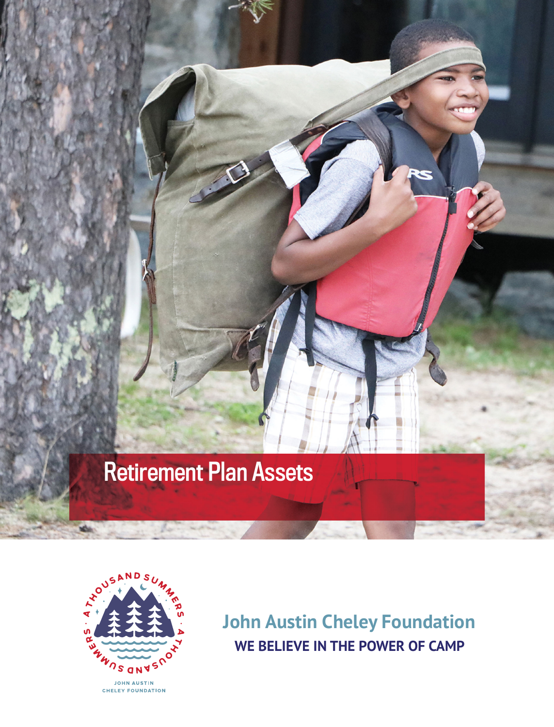# Retirement Plan Assets



**John Austin Cheley Foundation WE BELIEVE IN THE POWER OF CAMP**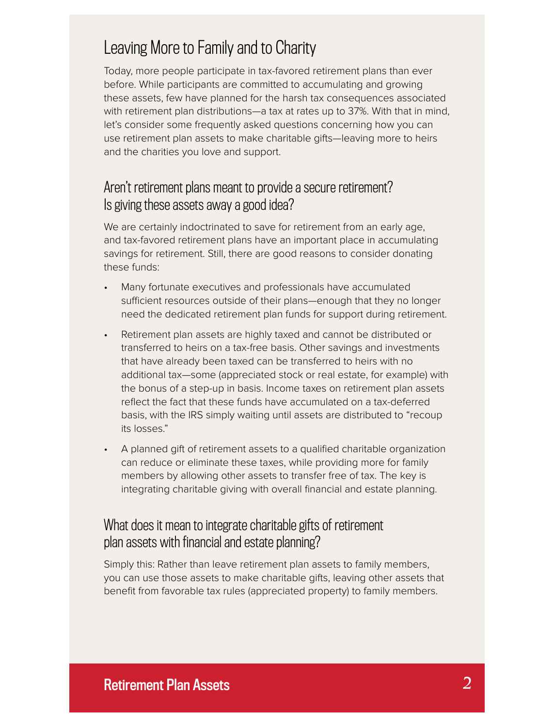## Leaving More to Family and to Charity

Today, more people participate in tax-favored retirement plans than ever before. While participants are committed to accumulating and growing these assets, few have planned for the harsh tax consequences associated with retirement plan distributions—a tax at rates up to 37%. With that in mind, let's consider some frequently asked questions concerning how you can use retirement plan assets to make charitable gifts—leaving more to heirs and the charities you love and support.

#### Aren't retirement plans meant to provide a secure retirement? Is giving these assets away a good idea?

We are certainly indoctrinated to save for retirement from an early age, and tax-favored retirement plans have an important place in accumulating savings for retirement. Still, there are good reasons to consider donating these funds:

- Many fortunate executives and professionals have accumulated sufficient resources outside of their plans—enough that they no longer need the dedicated retirement plan funds for support during retirement.
- Retirement plan assets are highly taxed and cannot be distributed or transferred to heirs on a tax-free basis. Other savings and investments that have already been taxed can be transferred to heirs with no additional tax—some (appreciated stock or real estate, for example) with the bonus of a step-up in basis. Income taxes on retirement plan assets reflect the fact that these funds have accumulated on a tax-deferred basis, with the IRS simply waiting until assets are distributed to "recoup its losses."
- A planned gift of retirement assets to a qualified charitable organization can reduce or eliminate these taxes, while providing more for family members by allowing other assets to transfer free of tax. The key is integrating charitable giving with overall financial and estate planning.

#### What does it mean to integrate charitable gifts of retirement plan assets with financial and estate planning?

Simply this: Rather than leave retirement plan assets to family members, you can use those assets to make charitable gifts, leaving other assets that benefit from favorable tax rules (appreciated property) to family members.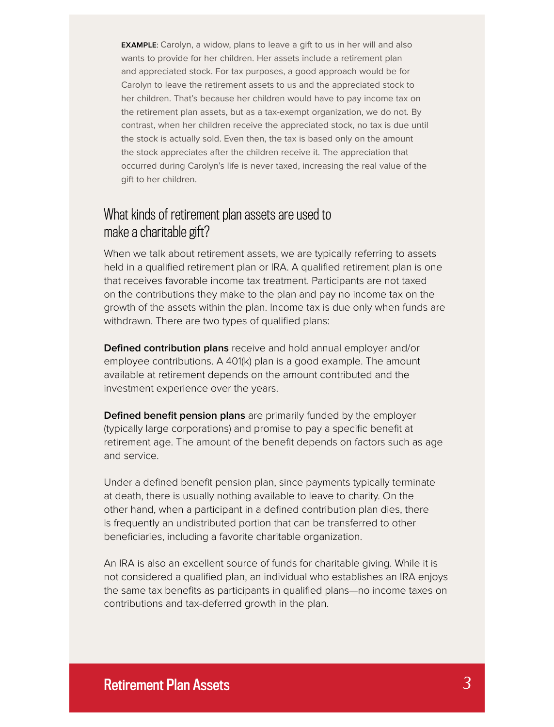**EXAMPLE**: Carolyn, a widow, plans to leave a gift to us in her will and also wants to provide for her children. Her assets include a retirement plan and appreciated stock. For tax purposes, a good approach would be for Carolyn to leave the retirement assets to us and the appreciated stock to her children. That's because her children would have to pay income tax on the retirement plan assets, but as a tax-exempt organization, we do not. By contrast, when her children receive the appreciated stock, no tax is due until the stock is actually sold. Even then, the tax is based only on the amount the stock appreciates after the children receive it. The appreciation that occurred during Carolyn's life is never taxed, increasing the real value of the gift to her children.

#### What kinds of retirement plan assets are used to make a charitable gift?

When we talk about retirement assets, we are typically referring to assets held in a qualified retirement plan or IRA. A qualified retirement plan is one that receives favorable income tax treatment. Participants are not taxed on the contributions they make to the plan and pay no income tax on the growth of the assets within the plan. Income tax is due only when funds are withdrawn. There are two types of qualified plans:

**Defined contribution plans** receive and hold annual employer and/or employee contributions. A 401(k) plan is a good example. The amount available at retirement depends on the amount contributed and the investment experience over the years.

**Defined benefit pension plans** are primarily funded by the employer (typically large corporations) and promise to pay a specific benefit at retirement age. The amount of the benefit depends on factors such as age and service.

Under a defined benefit pension plan, since payments typically terminate at death, there is usually nothing available to leave to charity. On the other hand, when a participant in a defined contribution plan dies, there is frequently an undistributed portion that can be transferred to other beneficiaries, including a favorite charitable organization.

An IRA is also an excellent source of funds for charitable giving. While it is not considered a qualified plan, an individual who establishes an IRA enjoys the same tax benefits as participants in qualified plans—no income taxes on contributions and tax-deferred growth in the plan.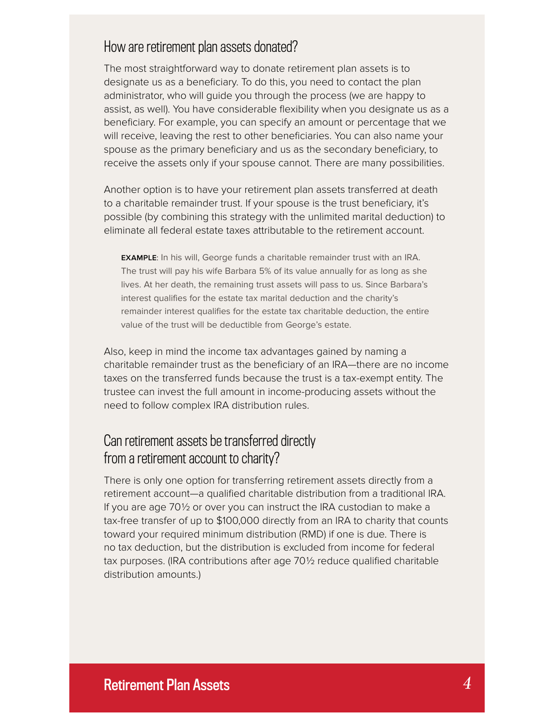#### How are retirement plan assets donated?

The most straightforward way to donate retirement plan assets is to designate us as a beneficiary. To do this, you need to contact the plan administrator, who will guide you through the process (we are happy to assist, as well). You have considerable flexibility when you designate us as a beneficiary. For example, you can specify an amount or percentage that we will receive, leaving the rest to other beneficiaries. You can also name your spouse as the primary beneficiary and us as the secondary beneficiary, to receive the assets only if your spouse cannot. There are many possibilities.

Another option is to have your retirement plan assets transferred at death to a charitable remainder trust. If your spouse is the trust beneficiary, it's possible (by combining this strategy with the unlimited marital deduction) to eliminate all federal estate taxes attributable to the retirement account.

**EXAMPLE**: In his will, George funds a charitable remainder trust with an IRA. The trust will pay his wife Barbara 5% of its value annually for as long as she lives. At her death, the remaining trust assets will pass to us. Since Barbara's interest qualifies for the estate tax marital deduction and the charity's remainder interest qualifies for the estate tax charitable deduction, the entire value of the trust will be deductible from George's estate.

Also, keep in mind the income tax advantages gained by naming a charitable remainder trust as the beneficiary of an IRA—there are no income taxes on the transferred funds because the trust is a tax-exempt entity. The trustee can invest the full amount in income-producing assets without the need to follow complex IRA distribution rules.

#### Can retirement assets be transferred directly from a retirement account to charity?

There is only one option for transferring retirement assets directly from a retirement account—a qualified charitable distribution from a traditional IRA. If you are age 70½ or over you can instruct the IRA custodian to make a tax-free transfer of up to \$100,000 directly from an IRA to charity that counts toward your required minimum distribution (RMD) if one is due. There is no tax deduction, but the distribution is excluded from income for federal tax purposes. (IRA contributions after age  $70\frac{1}{2}$  reduce qualified charitable distribution amounts.)